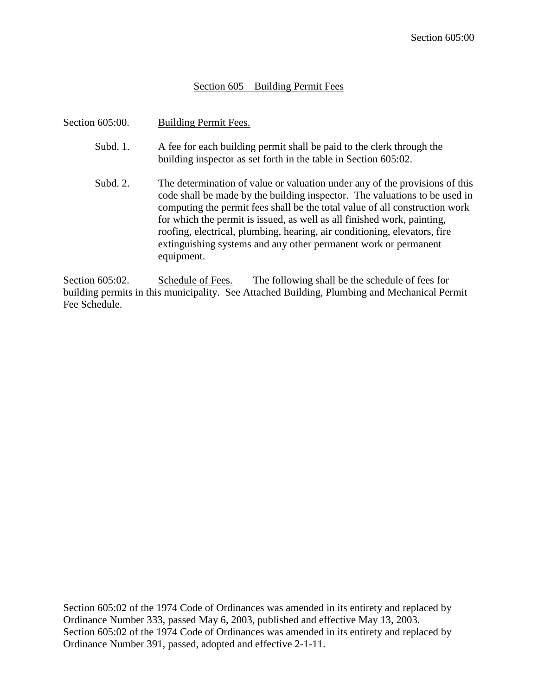## Section 605 – Building Permit Fees

| Section 605:00. | Building Permit Fees.                                                                                                                                                                                                                                                                                                                                                                                                                                                             |
|-----------------|-----------------------------------------------------------------------------------------------------------------------------------------------------------------------------------------------------------------------------------------------------------------------------------------------------------------------------------------------------------------------------------------------------------------------------------------------------------------------------------|
| Subd. 1.        | A fee for each building permit shall be paid to the clerk through the<br>building inspector as set forth in the table in Section 605:02.                                                                                                                                                                                                                                                                                                                                          |
| Subd. 2.        | The determination of value or valuation under any of the provisions of this<br>code shall be made by the building inspector. The valuations to be used in<br>computing the permit fees shall be the total value of all construction work<br>for which the permit is issued, as well as all finished work, painting,<br>roofing, electrical, plumbing, hearing, air conditioning, elevators, fire<br>extinguishing systems and any other permanent work or permanent<br>equipment. |

Section 605:02. Schedule of Fees. The following shall be the schedule of fees for building permits in this municipality. See Attached Building, Plumbing and Mechanical Permit Fee Schedule.

Section 605:02 of the 1974 Code of Ordinances was amended in its entirety and replaced by Ordinance Number 333, passed May 6, 2003, published and effective May 13, 2003. Section 605:02 of the 1974 Code of Ordinances was amended in its entirety and replaced by Ordinance Number 391, passed, adopted and effective 2-1-11.